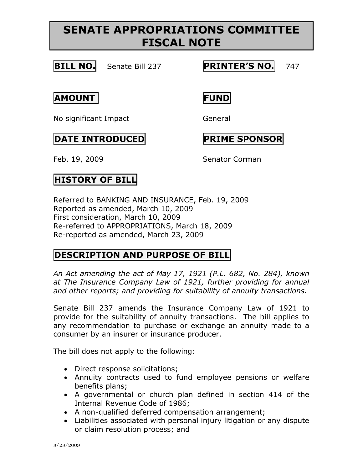# **SENATE APPROPRIATIONS COMMITTEE FISCAL NOTE**



**BILL NO.** Senate Bill 237 **PRINTER'S NO.** 747

**AMOUNT FUND**

No significant Impact General

#### **DATE INTRODUCED PRIME SPONSOR**

Feb. 19, 2009 Senator Corman

# **HISTORY OF BILL**

Referred to BANKING AND INSURANCE, Feb. 19, 2009 Reported as amended, March 10, 2009 First consideration, March 10, 2009 Re-referred to APPROPRIATIONS, March 18, 2009 Re-reported as amended, March 23, 2009

### **DESCRIPTION AND PURPOSE OF BILL**

*An Act amending the act of May 17, 1921 (P.L. 682, No. 284), known at The Insurance Company Law of 1921, further providing for annual and other reports; and providing for suitability of annuity transactions.*

Senate Bill 237 amends the Insurance Company Law of 1921 to provide for the suitability of annuity transactions. The bill applies to any recommendation to purchase or exchange an annuity made to a consumer by an insurer or insurance producer.

The bill does not apply to the following:

- Direct response solicitations;
- Annuity contracts used to fund employee pensions or welfare benefits plans;
- A governmental or church plan defined in section 414 of the Internal Revenue Code of 1986;
- A non-qualified deferred compensation arrangement;
- Liabilities associated with personal injury litigation or any dispute or claim resolution process; and